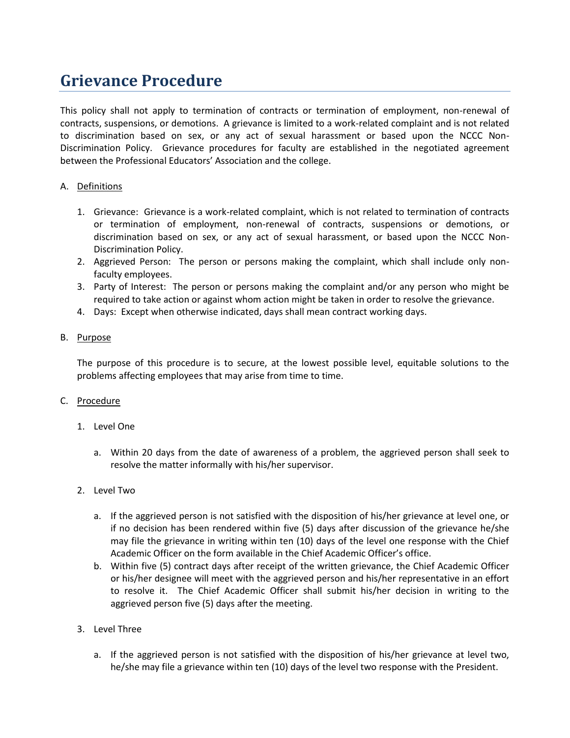# **Grievance Procedure**

This policy shall not apply to termination of contracts or termination of employment, non-renewal of contracts, suspensions, or demotions. A grievance is limited to a work-related complaint and is not related to discrimination based on sex, or any act of sexual harassment or based upon the NCCC Non-Discrimination Policy. Grievance procedures for faculty are established in the negotiated agreement between the Professional Educators' Association and the college.

### A. Definitions

- 1. Grievance: Grievance is a work-related complaint, which is not related to termination of contracts or termination of employment, non-renewal of contracts, suspensions or demotions, or discrimination based on sex, or any act of sexual harassment, or based upon the NCCC Non-Discrimination Policy.
- 2. Aggrieved Person: The person or persons making the complaint, which shall include only nonfaculty employees.
- 3. Party of Interest: The person or persons making the complaint and/or any person who might be required to take action or against whom action might be taken in order to resolve the grievance.
- 4. Days: Except when otherwise indicated, days shall mean contract working days.

# B. Purpose

The purpose of this procedure is to secure, at the lowest possible level, equitable solutions to the problems affecting employees that may arise from time to time.

### C. Procedure

- 1. Level One
	- a. Within 20 days from the date of awareness of a problem, the aggrieved person shall seek to resolve the matter informally with his/her supervisor.
- 2. Level Two
	- a. If the aggrieved person is not satisfied with the disposition of his/her grievance at level one, or if no decision has been rendered within five (5) days after discussion of the grievance he/she may file the grievance in writing within ten (10) days of the level one response with the Chief Academic Officer on the form available in the Chief Academic Officer's office.
	- b. Within five (5) contract days after receipt of the written grievance, the Chief Academic Officer or his/her designee will meet with the aggrieved person and his/her representative in an effort to resolve it. The Chief Academic Officer shall submit his/her decision in writing to the aggrieved person five (5) days after the meeting.
- 3. Level Three
	- a. If the aggrieved person is not satisfied with the disposition of his/her grievance at level two, he/she may file a grievance within ten (10) days of the level two response with the President.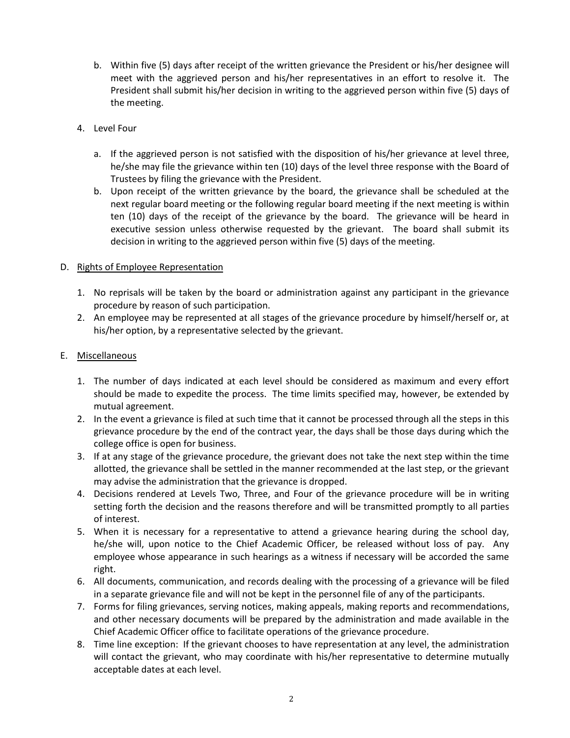- b. Within five (5) days after receipt of the written grievance the President or his/her designee will meet with the aggrieved person and his/her representatives in an effort to resolve it. The President shall submit his/her decision in writing to the aggrieved person within five (5) days of the meeting.
- 4. Level Four
	- a. If the aggrieved person is not satisfied with the disposition of his/her grievance at level three, he/she may file the grievance within ten (10) days of the level three response with the Board of Trustees by filing the grievance with the President.
	- b. Upon receipt of the written grievance by the board, the grievance shall be scheduled at the next regular board meeting or the following regular board meeting if the next meeting is within ten (10) days of the receipt of the grievance by the board. The grievance will be heard in executive session unless otherwise requested by the grievant. The board shall submit its decision in writing to the aggrieved person within five (5) days of the meeting.

# D. Rights of Employee Representation

- 1. No reprisals will be taken by the board or administration against any participant in the grievance procedure by reason of such participation.
- 2. An employee may be represented at all stages of the grievance procedure by himself/herself or, at his/her option, by a representative selected by the grievant.

# E. Miscellaneous

- 1. The number of days indicated at each level should be considered as maximum and every effort should be made to expedite the process. The time limits specified may, however, be extended by mutual agreement.
- 2. In the event a grievance is filed at such time that it cannot be processed through all the steps in this grievance procedure by the end of the contract year, the days shall be those days during which the college office is open for business.
- 3. If at any stage of the grievance procedure, the grievant does not take the next step within the time allotted, the grievance shall be settled in the manner recommended at the last step, or the grievant may advise the administration that the grievance is dropped.
- 4. Decisions rendered at Levels Two, Three, and Four of the grievance procedure will be in writing setting forth the decision and the reasons therefore and will be transmitted promptly to all parties of interest.
- 5. When it is necessary for a representative to attend a grievance hearing during the school day, he/she will, upon notice to the Chief Academic Officer, be released without loss of pay. Any employee whose appearance in such hearings as a witness if necessary will be accorded the same right.
- 6. All documents, communication, and records dealing with the processing of a grievance will be filed in a separate grievance file and will not be kept in the personnel file of any of the participants.
- 7. Forms for filing grievances, serving notices, making appeals, making reports and recommendations, and other necessary documents will be prepared by the administration and made available in the Chief Academic Officer office to facilitate operations of the grievance procedure.
- 8. Time line exception: If the grievant chooses to have representation at any level, the administration will contact the grievant, who may coordinate with his/her representative to determine mutually acceptable dates at each level.